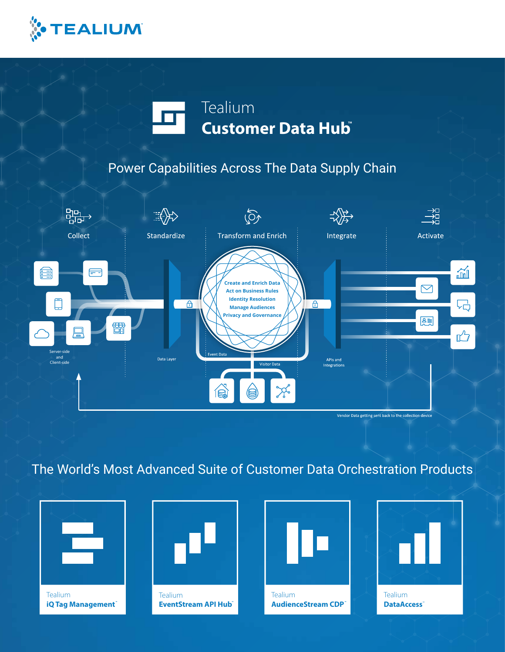

# Tealium **Customer Data Hub**

## Power Capabilities Across The Data Supply Chain



## The World's Most Advanced Suite of Customer Data Orchestration Products



**Tealium iQ Tag Management** 



**Tealium EventStream API Hub**<sup>®</sup>





**DataAccess**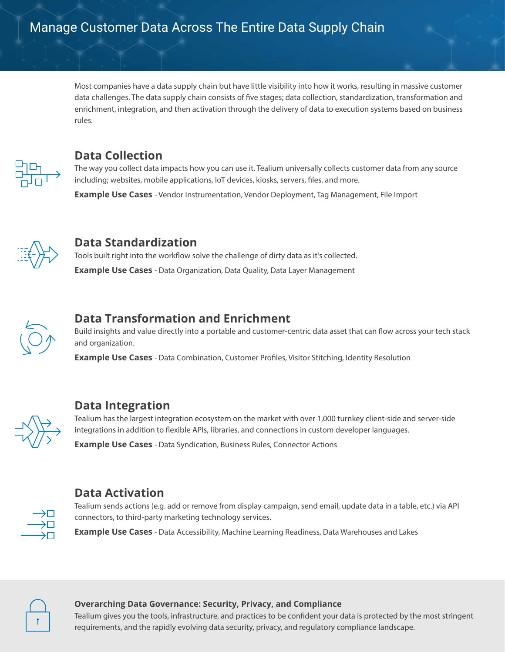Most companies have a data supply chain but have little visibility into how it works, resulting in massive customer data challenges. The data supply chain consists of five stages; data collection, standardization, transformation and enrichment, integration, and then activation through the delivery of data to execution systems based on business rules.



#### **Data Collection**

The way you collect data impacts how you can use it. Tealium universally collects customer data from any source including; websites, mobile applications, IoT devices, kiosks, servers, files, and more.

**Example Use Cases** - Vendor Instrumentation, Vendor Deployment, Tag Management, File Import



#### **Data Standardization**

Tools built right into the workflow solve the challenge of dirty data as it's collected. **Example Use Cases** - Data Organization, Data Quality, Data Layer Management



### **Data Transformation and Enrichment**

Build insights and value directly into a portable and customer-centric data asset that can flow across your tech stack and organization.

**Example Use Cases** - Data Combination, Customer Profiles, Visitor Stitching, Identity Resolution



#### **Data Integration**

Tealium has the largest integration ecosystem on the market with over 1,000 turnkey client-side and server-side integrations in addition to flexible APIs, libraries, and connections in custom developer languages.

**Example Use Cases** - Data Syndication, Business Rules, Connector Actions



### **Data Activation**

Tealium sends actions (e.g. add or remove from display campaign, send email, update data in a table, etc.) via API connectors, to third-party marketing technology services.

**Example Use Cases** - Data Accessibility, Machine Learning Readiness, Data Warehouses and Lakes



#### **Overarching Data Governance: Security, Privacy, and Compliance**

Tealium gives you the tools, infrastructure, and practices to be confident your data is protected by the most stringent requirements, and the rapidly evolving data security, privacy, and regulatory compliance landscape.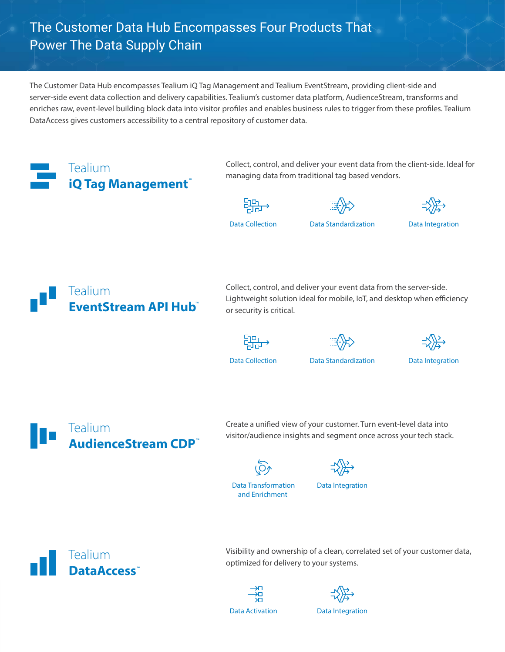### The Customer Data Hub Encompasses Four Products That Power The Data Supply Chain

The Customer Data Hub encompasses Tealium iQ Tag Management and Tealium EventStream, providing client-side and server-side event data collection and delivery capabilities. Tealium's customer data platform, AudienceStream, transforms and enriches raw, event-level building block data into visitor profiles and enables business rules to trigger from these profiles. Tealium DataAccess gives customers accessibility to a central repository of customer data.



Collect, control, and deliver your event data from the client-side. Ideal for managing data from traditional tag based vendors.







**Data Collection Data Standardization Data Integration**



Collect, control, and deliver your event data from the server-side. Lightweight solution ideal for mobile, IoT, and desktop when efficiency or security is critical.







**Data Collection Data Standardization Data Integration**



Create a unified view of your customer. Turn event-level data into visitor/audience insights and segment once across your tech stack.





**Data Transformation and Enrichment** 



Tealium DataAccess<sup>\*</sup> Visibility and ownership of a clean, correlated set of your customer data, optimized for delivery to your systems.

$$
\begin{array}{c}\n\rightarrow \square \\
\longrightarrow \square \\
\longrightarrow \square\n\end{array}
$$
\n
$$
\begin{array}{c}\n\rightarrow \square \\
\longrightarrow \square\n\end{array}
$$
\n
$$
\begin{array}{c}\n\text{at a Activation} \\
\end{array}
$$



**Data Activation Data Integration**